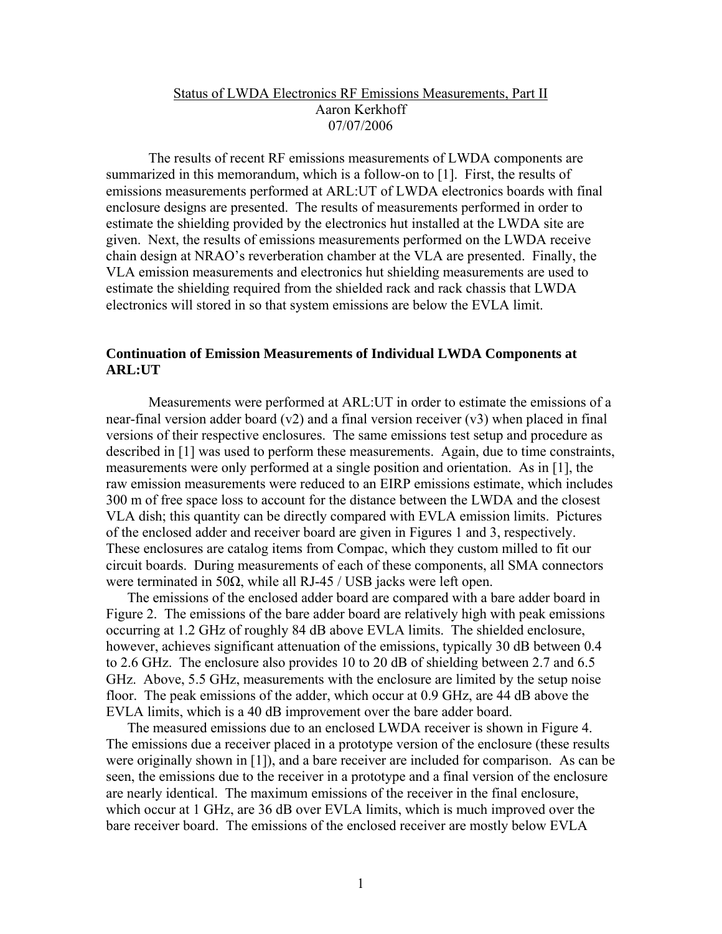## Status of LWDA Electronics RF Emissions Measurements, Part II Aaron Kerkhoff 07/07/2006

 The results of recent RF emissions measurements of LWDA components are summarized in this memorandum, which is a follow-on to [1]. First, the results of emissions measurements performed at ARL:UT of LWDA electronics boards with final enclosure designs are presented. The results of measurements performed in order to estimate the shielding provided by the electronics hut installed at the LWDA site are given. Next, the results of emissions measurements performed on the LWDA receive chain design at NRAO's reverberation chamber at the VLA are presented. Finally, the VLA emission measurements and electronics hut shielding measurements are used to estimate the shielding required from the shielded rack and rack chassis that LWDA electronics will stored in so that system emissions are below the EVLA limit.

# **Continuation of Emission Measurements of Individual LWDA Components at ARL:UT**

 Measurements were performed at ARL:UT in order to estimate the emissions of a near-final version adder board  $(v2)$  and a final version receiver  $(v3)$  when placed in final versions of their respective enclosures. The same emissions test setup and procedure as described in [1] was used to perform these measurements. Again, due to time constraints, measurements were only performed at a single position and orientation. As in [1], the raw emission measurements were reduced to an EIRP emissions estimate, which includes 300 m of free space loss to account for the distance between the LWDA and the closest VLA dish; this quantity can be directly compared with EVLA emission limits. Pictures of the enclosed adder and receiver board are given in Figures 1 and 3, respectively. These enclosures are catalog items from Compac, which they custom milled to fit our circuit boards. During measurements of each of these components, all SMA connectors were terminated in 50 $\Omega$ , while all RJ-45 / USB jacks were left open.

The emissions of the enclosed adder board are compared with a bare adder board in Figure 2. The emissions of the bare adder board are relatively high with peak emissions occurring at 1.2 GHz of roughly 84 dB above EVLA limits. The shielded enclosure, however, achieves significant attenuation of the emissions, typically 30 dB between 0.4 to 2.6 GHz. The enclosure also provides 10 to 20 dB of shielding between 2.7 and 6.5 GHz. Above, 5.5 GHz, measurements with the enclosure are limited by the setup noise floor. The peak emissions of the adder, which occur at 0.9 GHz, are 44 dB above the EVLA limits, which is a 40 dB improvement over the bare adder board.

The measured emissions due to an enclosed LWDA receiver is shown in Figure 4. The emissions due a receiver placed in a prototype version of the enclosure (these results were originally shown in [1]), and a bare receiver are included for comparison. As can be seen, the emissions due to the receiver in a prototype and a final version of the enclosure are nearly identical. The maximum emissions of the receiver in the final enclosure, which occur at 1 GHz, are 36 dB over EVLA limits, which is much improved over the bare receiver board. The emissions of the enclosed receiver are mostly below EVLA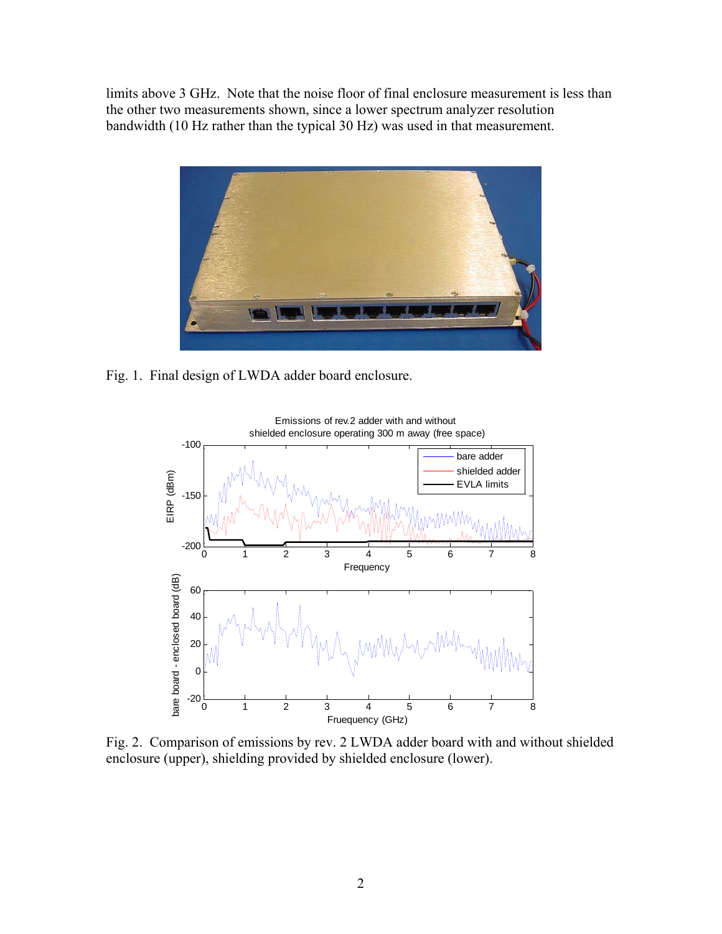limits above 3 GHz. Note that the noise floor of final enclosure measurement is less than the other two measurements shown, since a lower spectrum analyzer resolution bandwidth (10 Hz rather than the typical 30 Hz) was used in that measurement.



Fig. 1. Final design of LWDA adder board enclosure.



Fig. 2. Comparison of emissions by rev. 2 LWDA adder board with and without shielded enclosure (upper), shielding provided by shielded enclosure (lower).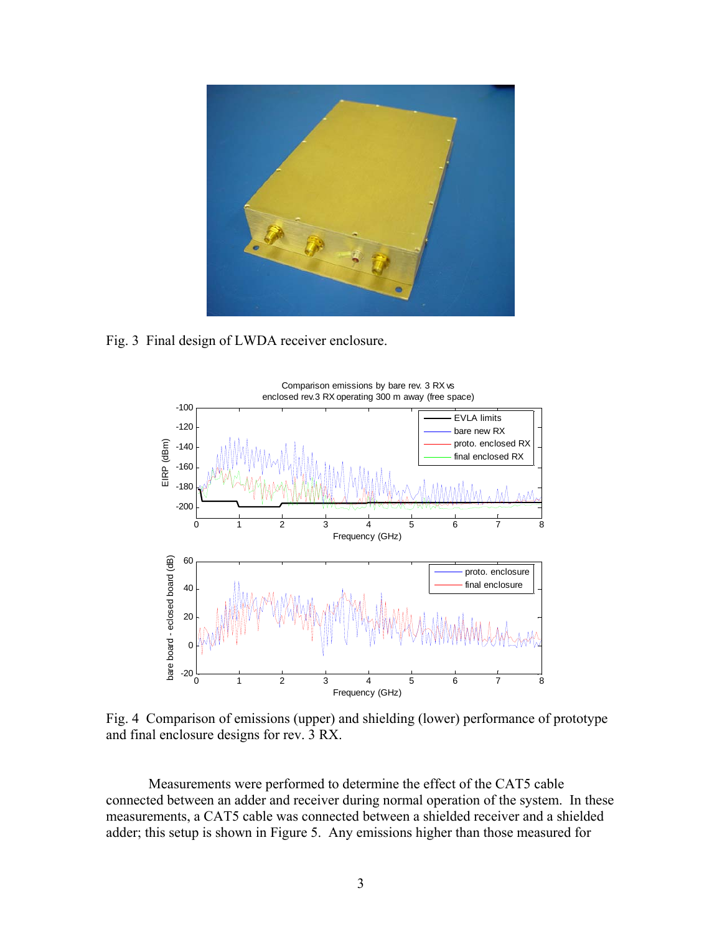

Fig. 3 Final design of LWDA receiver enclosure.



Fig. 4 Comparison of emissions (upper) and shielding (lower) performance of prototype and final enclosure designs for rev. 3 RX.

 Measurements were performed to determine the effect of the CAT5 cable connected between an adder and receiver during normal operation of the system. In these measurements, a CAT5 cable was connected between a shielded receiver and a shielded adder; this setup is shown in Figure 5. Any emissions higher than those measured for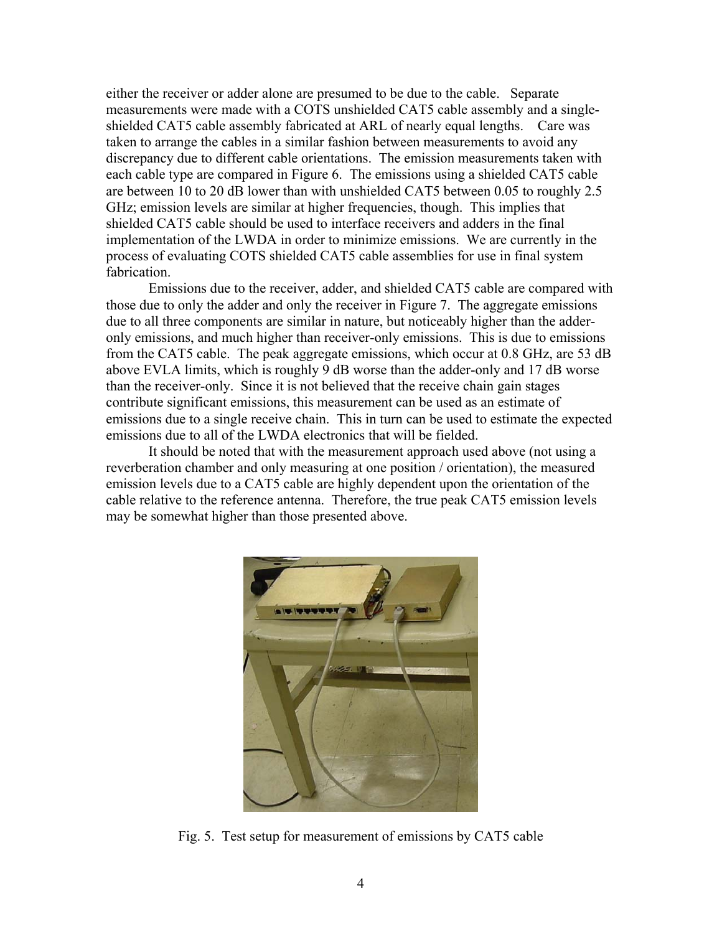either the receiver or adder alone are presumed to be due to the cable. Separate measurements were made with a COTS unshielded CAT5 cable assembly and a singleshielded CAT5 cable assembly fabricated at ARL of nearly equal lengths. Care was taken to arrange the cables in a similar fashion between measurements to avoid any discrepancy due to different cable orientations. The emission measurements taken with each cable type are compared in Figure 6. The emissions using a shielded CAT5 cable are between 10 to 20 dB lower than with unshielded CAT5 between 0.05 to roughly 2.5 GHz; emission levels are similar at higher frequencies, though. This implies that shielded CAT5 cable should be used to interface receivers and adders in the final implementation of the LWDA in order to minimize emissions. We are currently in the process of evaluating COTS shielded CAT5 cable assemblies for use in final system fabrication.

 Emissions due to the receiver, adder, and shielded CAT5 cable are compared with those due to only the adder and only the receiver in Figure 7. The aggregate emissions due to all three components are similar in nature, but noticeably higher than the adderonly emissions, and much higher than receiver-only emissions. This is due to emissions from the CAT5 cable. The peak aggregate emissions, which occur at 0.8 GHz, are 53 dB above EVLA limits, which is roughly 9 dB worse than the adder-only and 17 dB worse than the receiver-only. Since it is not believed that the receive chain gain stages contribute significant emissions, this measurement can be used as an estimate of emissions due to a single receive chain. This in turn can be used to estimate the expected emissions due to all of the LWDA electronics that will be fielded.

 It should be noted that with the measurement approach used above (not using a reverberation chamber and only measuring at one position / orientation), the measured emission levels due to a CAT5 cable are highly dependent upon the orientation of the cable relative to the reference antenna. Therefore, the true peak CAT5 emission levels may be somewhat higher than those presented above.



Fig. 5. Test setup for measurement of emissions by CAT5 cable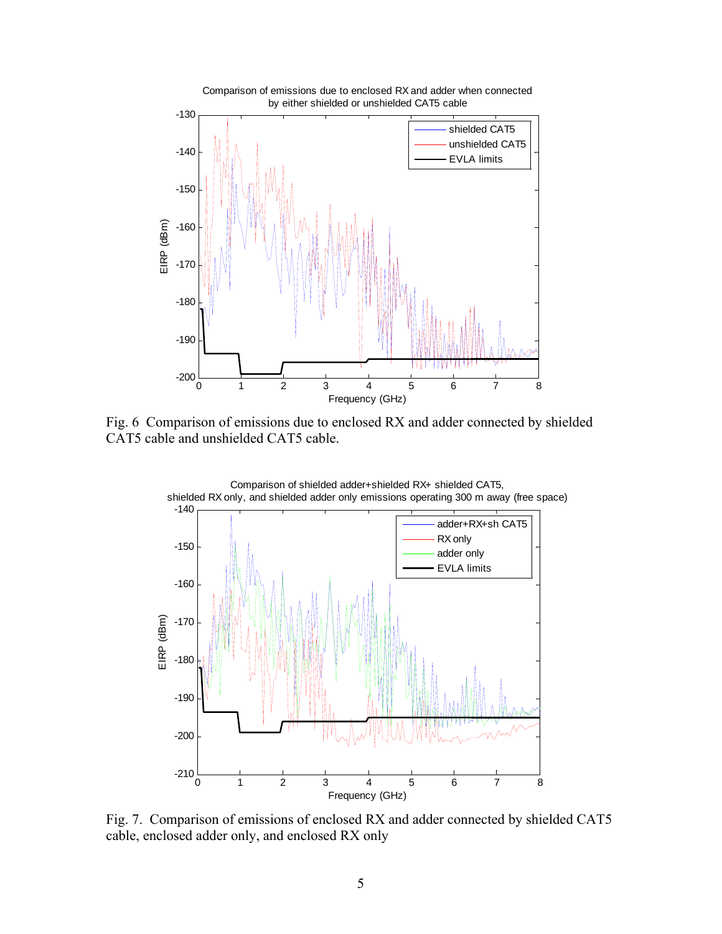

Fig. 6 Comparison of emissions due to enclosed RX and adder connected by shielded CAT5 cable and unshielded CAT5 cable.



Fig. 7. Comparison of emissions of enclosed RX and adder connected by shielded CAT5 cable, enclosed adder only, and enclosed RX only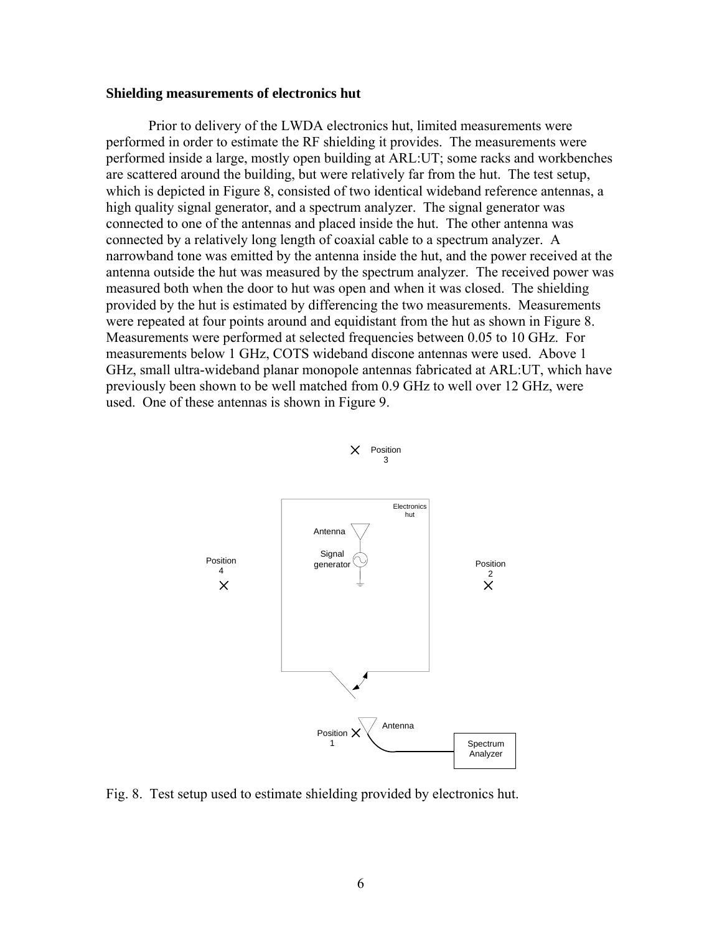#### **Shielding measurements of electronics hut**

 Prior to delivery of the LWDA electronics hut, limited measurements were performed in order to estimate the RF shielding it provides. The measurements were performed inside a large, mostly open building at ARL:UT; some racks and workbenches are scattered around the building, but were relatively far from the hut. The test setup, which is depicted in Figure 8, consisted of two identical wideband reference antennas, a high quality signal generator, and a spectrum analyzer. The signal generator was connected to one of the antennas and placed inside the hut. The other antenna was connected by a relatively long length of coaxial cable to a spectrum analyzer. A narrowband tone was emitted by the antenna inside the hut, and the power received at the antenna outside the hut was measured by the spectrum analyzer. The received power was measured both when the door to hut was open and when it was closed. The shielding provided by the hut is estimated by differencing the two measurements. Measurements were repeated at four points around and equidistant from the hut as shown in Figure 8. Measurements were performed at selected frequencies between 0.05 to 10 GHz. For measurements below 1 GHz, COTS wideband discone antennas were used. Above 1 GHz, small ultra-wideband planar monopole antennas fabricated at ARL:UT, which have previously been shown to be well matched from 0.9 GHz to well over 12 GHz, were used. One of these antennas is shown in Figure 9.



 $X$  Position 3

Fig. 8. Test setup used to estimate shielding provided by electronics hut.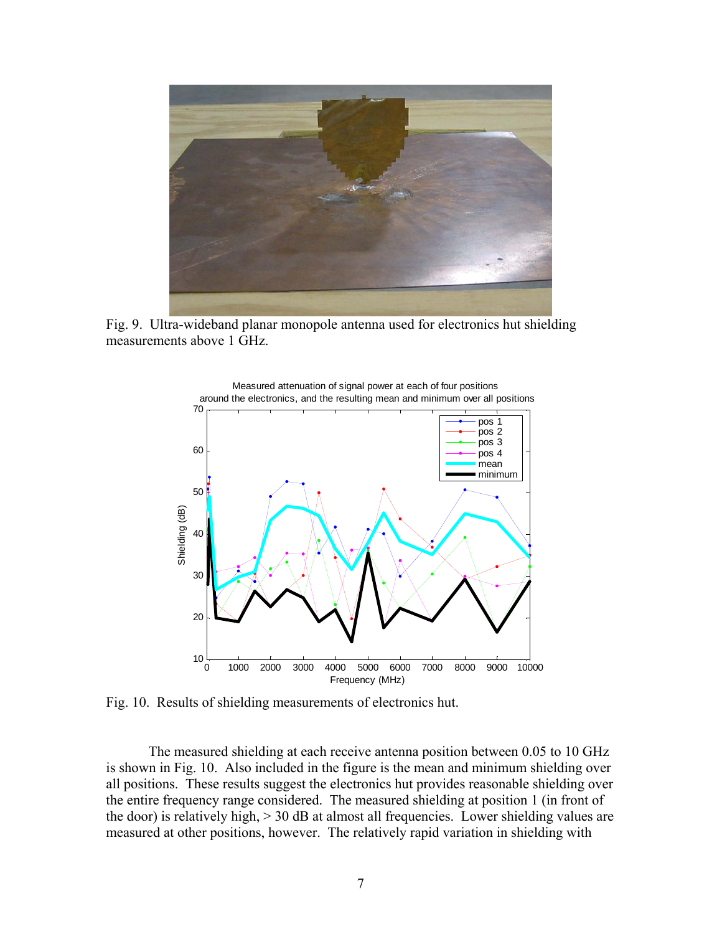

Fig. 9. Ultra-wideband planar monopole antenna used for electronics hut shielding measurements above 1 GHz.



Fig. 10. Results of shielding measurements of electronics hut.

 The measured shielding at each receive antenna position between 0.05 to 10 GHz is shown in Fig. 10. Also included in the figure is the mean and minimum shielding over all positions. These results suggest the electronics hut provides reasonable shielding over the entire frequency range considered. The measured shielding at position 1 (in front of the door) is relatively high, > 30 dB at almost all frequencies. Lower shielding values are measured at other positions, however. The relatively rapid variation in shielding with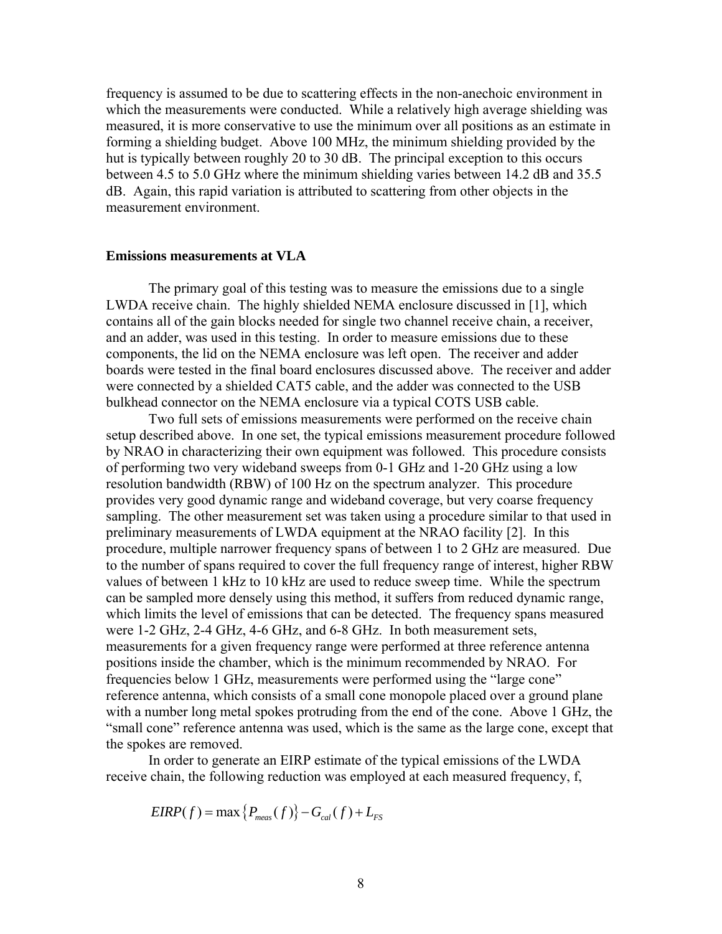frequency is assumed to be due to scattering effects in the non-anechoic environment in which the measurements were conducted. While a relatively high average shielding was measured, it is more conservative to use the minimum over all positions as an estimate in forming a shielding budget. Above 100 MHz, the minimum shielding provided by the hut is typically between roughly 20 to 30 dB. The principal exception to this occurs between 4.5 to 5.0 GHz where the minimum shielding varies between 14.2 dB and 35.5 dB. Again, this rapid variation is attributed to scattering from other objects in the measurement environment.

#### **Emissions measurements at VLA**

 The primary goal of this testing was to measure the emissions due to a single LWDA receive chain. The highly shielded NEMA enclosure discussed in [1], which contains all of the gain blocks needed for single two channel receive chain, a receiver, and an adder, was used in this testing. In order to measure emissions due to these components, the lid on the NEMA enclosure was left open. The receiver and adder boards were tested in the final board enclosures discussed above. The receiver and adder were connected by a shielded CAT5 cable, and the adder was connected to the USB bulkhead connector on the NEMA enclosure via a typical COTS USB cable.

 Two full sets of emissions measurements were performed on the receive chain setup described above. In one set, the typical emissions measurement procedure followed by NRAO in characterizing their own equipment was followed. This procedure consists of performing two very wideband sweeps from 0-1 GHz and 1-20 GHz using a low resolution bandwidth (RBW) of 100 Hz on the spectrum analyzer. This procedure provides very good dynamic range and wideband coverage, but very coarse frequency sampling. The other measurement set was taken using a procedure similar to that used in preliminary measurements of LWDA equipment at the NRAO facility [2]. In this procedure, multiple narrower frequency spans of between 1 to 2 GHz are measured. Due to the number of spans required to cover the full frequency range of interest, higher RBW values of between 1 kHz to 10 kHz are used to reduce sweep time. While the spectrum can be sampled more densely using this method, it suffers from reduced dynamic range, which limits the level of emissions that can be detected. The frequency spans measured were 1-2 GHz, 2-4 GHz, 4-6 GHz, and 6-8 GHz. In both measurement sets, measurements for a given frequency range were performed at three reference antenna positions inside the chamber, which is the minimum recommended by NRAO. For frequencies below 1 GHz, measurements were performed using the "large cone" reference antenna, which consists of a small cone monopole placed over a ground plane with a number long metal spokes protruding from the end of the cone. Above 1 GHz, the "small cone" reference antenna was used, which is the same as the large cone, except that the spokes are removed.

 In order to generate an EIRP estimate of the typical emissions of the LWDA receive chain, the following reduction was employed at each measured frequency, f,

 $EIRP(f) = \max\{P_{meas}(f)\} - G_{cal}(f) + L_{FS}$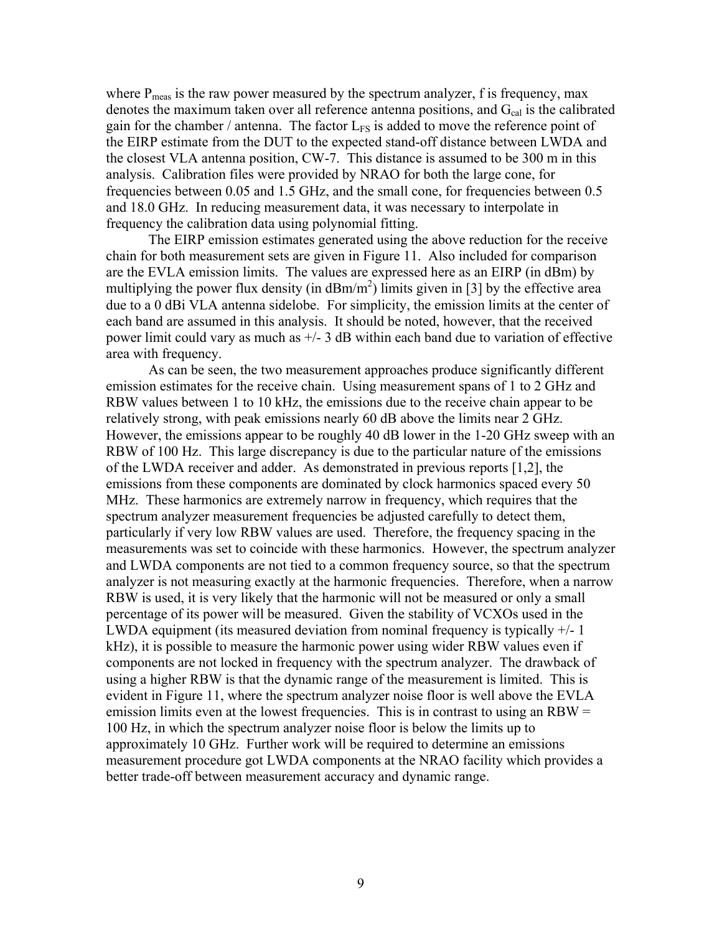where  $P_{meas}$  is the raw power measured by the spectrum analyzer, f is frequency, max denotes the maximum taken over all reference antenna positions, and  $G_{cal}$  is the calibrated gain for the chamber / antenna. The factor  $L_{FS}$  is added to move the reference point of the EIRP estimate from the DUT to the expected stand-off distance between LWDA and the closest VLA antenna position, CW-7. This distance is assumed to be 300 m in this analysis. Calibration files were provided by NRAO for both the large cone, for frequencies between 0.05 and 1.5 GHz, and the small cone, for frequencies between 0.5 and 18.0 GHz. In reducing measurement data, it was necessary to interpolate in frequency the calibration data using polynomial fitting.

 The EIRP emission estimates generated using the above reduction for the receive chain for both measurement sets are given in Figure 11. Also included for comparison are the EVLA emission limits. The values are expressed here as an EIRP (in dBm) by multiplying the power flux density (in  $dBm/m<sup>2</sup>$ ) limits given in [3] by the effective area due to a 0 dBi VLA antenna sidelobe. For simplicity, the emission limits at the center of each band are assumed in this analysis. It should be noted, however, that the received power limit could vary as much as  $+/- 3$  dB within each band due to variation of effective area with frequency.

As can be seen, the two measurement approaches produce significantly different emission estimates for the receive chain. Using measurement spans of 1 to 2 GHz and RBW values between 1 to 10 kHz, the emissions due to the receive chain appear to be relatively strong, with peak emissions nearly 60 dB above the limits near 2 GHz. However, the emissions appear to be roughly 40 dB lower in the 1-20 GHz sweep with an RBW of 100 Hz. This large discrepancy is due to the particular nature of the emissions of the LWDA receiver and adder. As demonstrated in previous reports [1,2], the emissions from these components are dominated by clock harmonics spaced every 50 MHz. These harmonics are extremely narrow in frequency, which requires that the spectrum analyzer measurement frequencies be adjusted carefully to detect them, particularly if very low RBW values are used. Therefore, the frequency spacing in the measurements was set to coincide with these harmonics. However, the spectrum analyzer and LWDA components are not tied to a common frequency source, so that the spectrum analyzer is not measuring exactly at the harmonic frequencies. Therefore, when a narrow RBW is used, it is very likely that the harmonic will not be measured or only a small percentage of its power will be measured. Given the stability of VCXOs used in the LWDA equipment (its measured deviation from nominal frequency is typically +/- 1 kHz), it is possible to measure the harmonic power using wider RBW values even if components are not locked in frequency with the spectrum analyzer. The drawback of using a higher RBW is that the dynamic range of the measurement is limited. This is evident in Figure 11, where the spectrum analyzer noise floor is well above the EVLA emission limits even at the lowest frequencies. This is in contrast to using an  $RBW =$ 100 Hz, in which the spectrum analyzer noise floor is below the limits up to approximately 10 GHz. Further work will be required to determine an emissions measurement procedure got LWDA components at the NRAO facility which provides a better trade-off between measurement accuracy and dynamic range.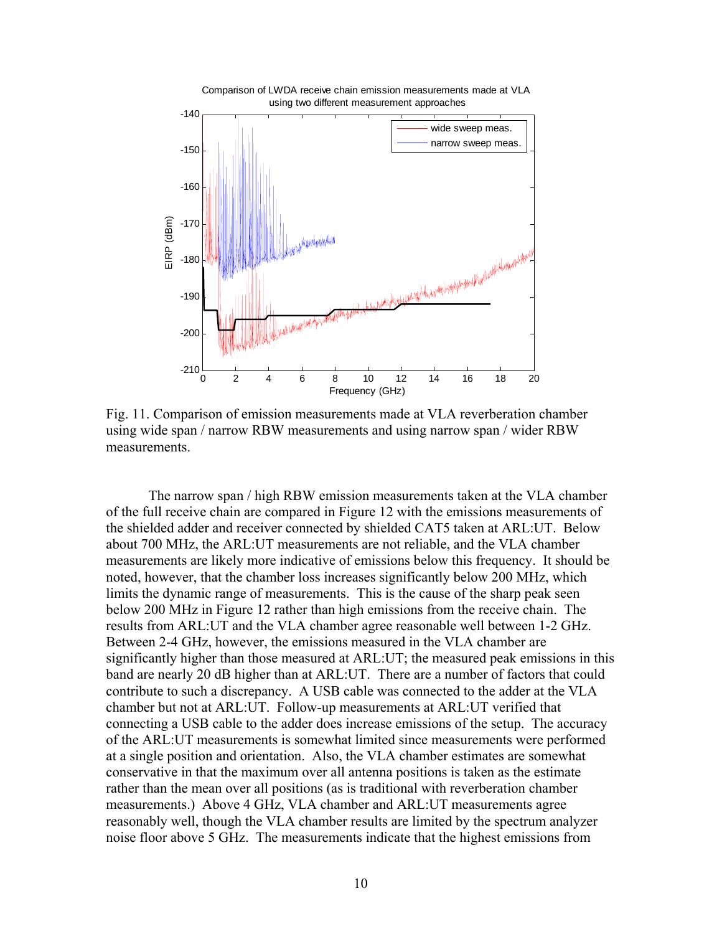

Fig. 11. Comparison of emission measurements made at VLA reverberation chamber using wide span / narrow RBW measurements and using narrow span / wider RBW measurements.

 The narrow span / high RBW emission measurements taken at the VLA chamber of the full receive chain are compared in Figure 12 with the emissions measurements of the shielded adder and receiver connected by shielded CAT5 taken at ARL:UT. Below about 700 MHz, the ARL:UT measurements are not reliable, and the VLA chamber measurements are likely more indicative of emissions below this frequency. It should be noted, however, that the chamber loss increases significantly below 200 MHz, which limits the dynamic range of measurements. This is the cause of the sharp peak seen below 200 MHz in Figure 12 rather than high emissions from the receive chain. The results from ARL:UT and the VLA chamber agree reasonable well between 1-2 GHz. Between 2-4 GHz, however, the emissions measured in the VLA chamber are significantly higher than those measured at ARL:UT; the measured peak emissions in this band are nearly 20 dB higher than at ARL:UT. There are a number of factors that could contribute to such a discrepancy. A USB cable was connected to the adder at the VLA chamber but not at ARL:UT. Follow-up measurements at ARL:UT verified that connecting a USB cable to the adder does increase emissions of the setup. The accuracy of the ARL:UT measurements is somewhat limited since measurements were performed at a single position and orientation. Also, the VLA chamber estimates are somewhat conservative in that the maximum over all antenna positions is taken as the estimate rather than the mean over all positions (as is traditional with reverberation chamber measurements.) Above 4 GHz, VLA chamber and ARL:UT measurements agree reasonably well, though the VLA chamber results are limited by the spectrum analyzer noise floor above 5 GHz. The measurements indicate that the highest emissions from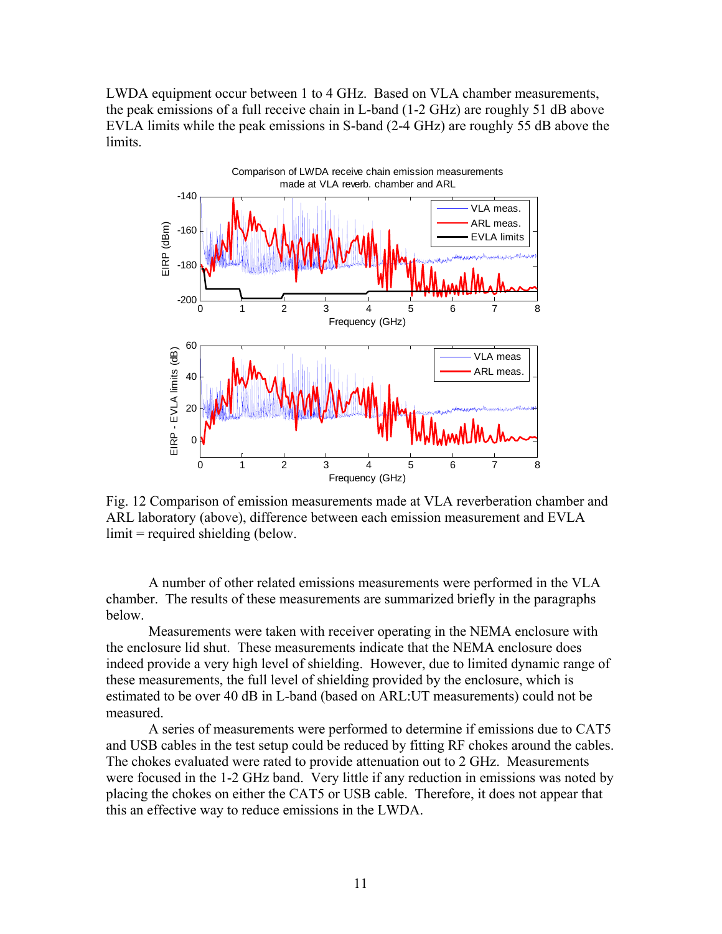LWDA equipment occur between 1 to 4 GHz. Based on VLA chamber measurements, the peak emissions of a full receive chain in L-band (1-2 GHz) are roughly 51 dB above EVLA limits while the peak emissions in S-band (2-4 GHz) are roughly 55 dB above the limits.



Fig. 12 Comparison of emission measurements made at VLA reverberation chamber and ARL laboratory (above), difference between each emission measurement and EVLA limit = required shielding (below.

A number of other related emissions measurements were performed in the VLA chamber. The results of these measurements are summarized briefly in the paragraphs below.

Measurements were taken with receiver operating in the NEMA enclosure with the enclosure lid shut. These measurements indicate that the NEMA enclosure does indeed provide a very high level of shielding. However, due to limited dynamic range of these measurements, the full level of shielding provided by the enclosure, which is estimated to be over 40 dB in L-band (based on ARL:UT measurements) could not be measured.

A series of measurements were performed to determine if emissions due to CAT5 and USB cables in the test setup could be reduced by fitting RF chokes around the cables. The chokes evaluated were rated to provide attenuation out to 2 GHz. Measurements were focused in the 1-2 GHz band. Very little if any reduction in emissions was noted by placing the chokes on either the CAT5 or USB cable. Therefore, it does not appear that this an effective way to reduce emissions in the LWDA.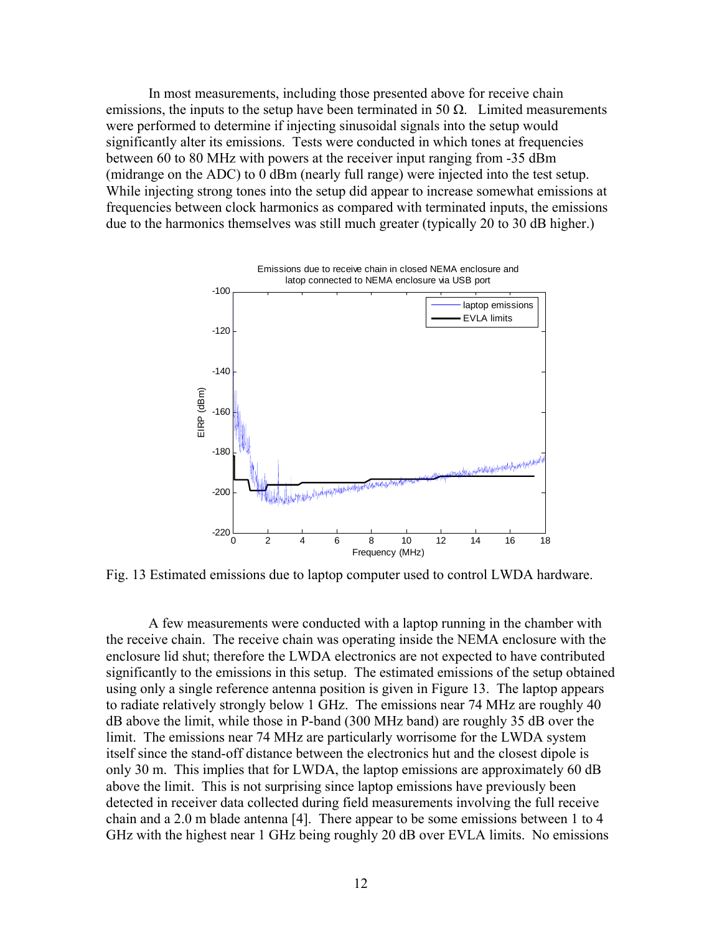In most measurements, including those presented above for receive chain emissions, the inputs to the setup have been terminated in 50  $\Omega$ . Limited measurements were performed to determine if injecting sinusoidal signals into the setup would significantly alter its emissions. Tests were conducted in which tones at frequencies between 60 to 80 MHz with powers at the receiver input ranging from -35 dBm (midrange on the ADC) to 0 dBm (nearly full range) were injected into the test setup. While injecting strong tones into the setup did appear to increase somewhat emissions at frequencies between clock harmonics as compared with terminated inputs, the emissions due to the harmonics themselves was still much greater (typically 20 to 30 dB higher.)



Fig. 13 Estimated emissions due to laptop computer used to control LWDA hardware.

A few measurements were conducted with a laptop running in the chamber with the receive chain. The receive chain was operating inside the NEMA enclosure with the enclosure lid shut; therefore the LWDA electronics are not expected to have contributed significantly to the emissions in this setup. The estimated emissions of the setup obtained using only a single reference antenna position is given in Figure 13. The laptop appears to radiate relatively strongly below 1 GHz. The emissions near 74 MHz are roughly 40 dB above the limit, while those in P-band (300 MHz band) are roughly 35 dB over the limit. The emissions near 74 MHz are particularly worrisome for the LWDA system itself since the stand-off distance between the electronics hut and the closest dipole is only 30 m. This implies that for LWDA, the laptop emissions are approximately 60 dB above the limit. This is not surprising since laptop emissions have previously been detected in receiver data collected during field measurements involving the full receive chain and a 2.0 m blade antenna [4]. There appear to be some emissions between 1 to 4 GHz with the highest near 1 GHz being roughly 20 dB over EVLA limits. No emissions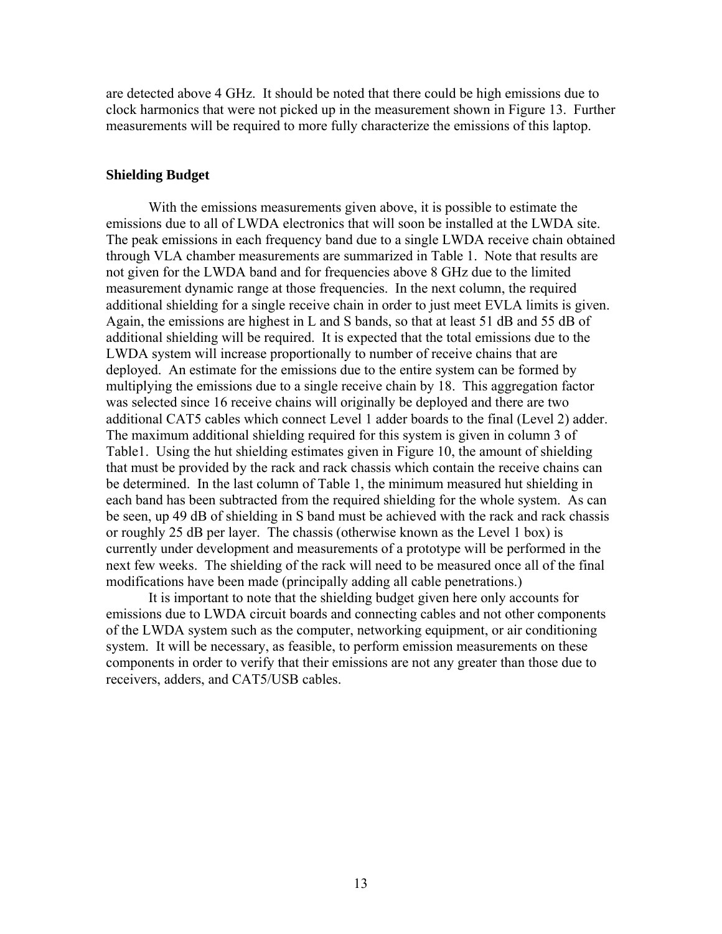are detected above 4 GHz. It should be noted that there could be high emissions due to clock harmonics that were not picked up in the measurement shown in Figure 13. Further measurements will be required to more fully characterize the emissions of this laptop.

### **Shielding Budget**

 With the emissions measurements given above, it is possible to estimate the emissions due to all of LWDA electronics that will soon be installed at the LWDA site. The peak emissions in each frequency band due to a single LWDA receive chain obtained through VLA chamber measurements are summarized in Table 1. Note that results are not given for the LWDA band and for frequencies above 8 GHz due to the limited measurement dynamic range at those frequencies. In the next column, the required additional shielding for a single receive chain in order to just meet EVLA limits is given. Again, the emissions are highest in L and S bands, so that at least 51 dB and 55 dB of additional shielding will be required. It is expected that the total emissions due to the LWDA system will increase proportionally to number of receive chains that are deployed. An estimate for the emissions due to the entire system can be formed by multiplying the emissions due to a single receive chain by 18. This aggregation factor was selected since 16 receive chains will originally be deployed and there are two additional CAT5 cables which connect Level 1 adder boards to the final (Level 2) adder. The maximum additional shielding required for this system is given in column 3 of Table1. Using the hut shielding estimates given in Figure 10, the amount of shielding that must be provided by the rack and rack chassis which contain the receive chains can be determined. In the last column of Table 1, the minimum measured hut shielding in each band has been subtracted from the required shielding for the whole system. As can be seen, up 49 dB of shielding in S band must be achieved with the rack and rack chassis or roughly 25 dB per layer. The chassis (otherwise known as the Level 1 box) is currently under development and measurements of a prototype will be performed in the next few weeks. The shielding of the rack will need to be measured once all of the final modifications have been made (principally adding all cable penetrations.)

 It is important to note that the shielding budget given here only accounts for emissions due to LWDA circuit boards and connecting cables and not other components of the LWDA system such as the computer, networking equipment, or air conditioning system. It will be necessary, as feasible, to perform emission measurements on these components in order to verify that their emissions are not any greater than those due to receivers, adders, and CAT5/USB cables.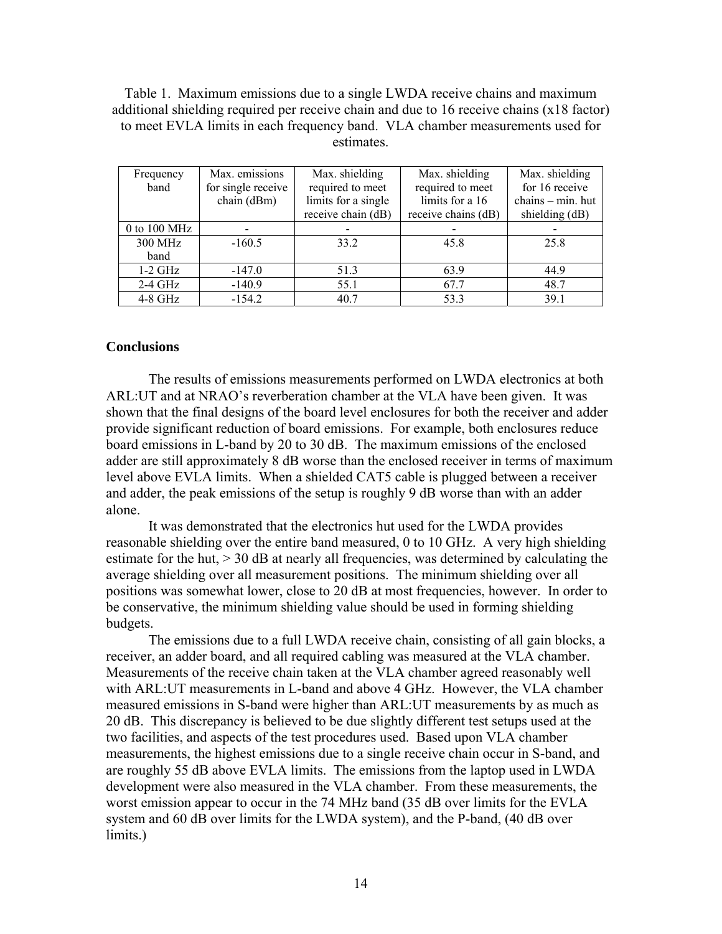Table 1. Maximum emissions due to a single LWDA receive chains and maximum additional shielding required per receive chain and due to 16 receive chains (x18 factor) to meet EVLA limits in each frequency band. VLA chamber measurements used for estimates.

| Frequency<br>band | Max. emissions<br>for single receive<br>chain (dBm) | Max. shielding<br>required to meet<br>limits for a single | Max. shielding<br>required to meet<br>limits for a 16 | Max. shielding<br>for 16 receive<br>chains - min. hut |
|-------------------|-----------------------------------------------------|-----------------------------------------------------------|-------------------------------------------------------|-------------------------------------------------------|
|                   |                                                     | receive chain (dB)                                        | receive chains (dB)                                   | shielding (dB)                                        |
| $0$ to $100$ MHz  |                                                     |                                                           |                                                       |                                                       |
| 300 MHz<br>band   | $-160.5$                                            | 33.2                                                      | 45.8                                                  | 25.8                                                  |
| $1-2$ GHz         | $-147.0$                                            | 51.3                                                      | 63.9                                                  | 44.9                                                  |
| $2-4$ GHz         | $-140.9$                                            | 55.1                                                      | 67.7                                                  | 48.7                                                  |
| $4-8$ GHz         | $-154.2$                                            | 40.7                                                      | 53.3                                                  | 39.1                                                  |

### **Conclusions**

 The results of emissions measurements performed on LWDA electronics at both ARL:UT and at NRAO's reverberation chamber at the VLA have been given. It was shown that the final designs of the board level enclosures for both the receiver and adder provide significant reduction of board emissions. For example, both enclosures reduce board emissions in L-band by 20 to 30 dB. The maximum emissions of the enclosed adder are still approximately 8 dB worse than the enclosed receiver in terms of maximum level above EVLA limits. When a shielded CAT5 cable is plugged between a receiver and adder, the peak emissions of the setup is roughly 9 dB worse than with an adder alone.

 It was demonstrated that the electronics hut used for the LWDA provides reasonable shielding over the entire band measured, 0 to 10 GHz. A very high shielding estimate for the hut, > 30 dB at nearly all frequencies, was determined by calculating the average shielding over all measurement positions. The minimum shielding over all positions was somewhat lower, close to 20 dB at most frequencies, however. In order to be conservative, the minimum shielding value should be used in forming shielding budgets.

 The emissions due to a full LWDA receive chain, consisting of all gain blocks, a receiver, an adder board, and all required cabling was measured at the VLA chamber. Measurements of the receive chain taken at the VLA chamber agreed reasonably well with ARL:UT measurements in L-band and above 4 GHz. However, the VLA chamber measured emissions in S-band were higher than ARL:UT measurements by as much as 20 dB. This discrepancy is believed to be due slightly different test setups used at the two facilities, and aspects of the test procedures used. Based upon VLA chamber measurements, the highest emissions due to a single receive chain occur in S-band, and are roughly 55 dB above EVLA limits. The emissions from the laptop used in LWDA development were also measured in the VLA chamber. From these measurements, the worst emission appear to occur in the 74 MHz band (35 dB over limits for the EVLA system and 60 dB over limits for the LWDA system), and the P-band, (40 dB over limits.)